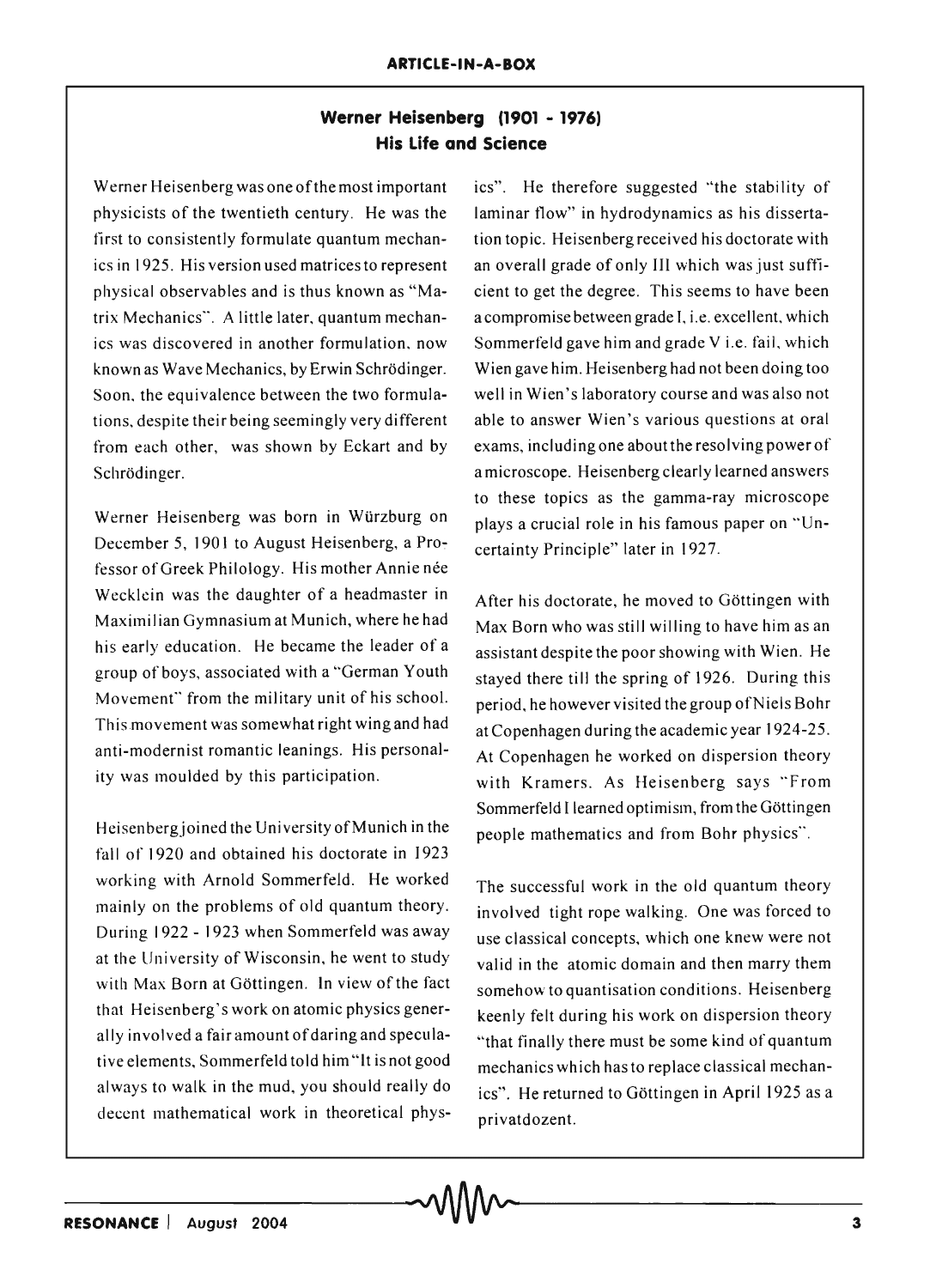## **Werner Heisenberg (1901 - 1976) His Life and Science**

Werner Heisenberg was one of the most important physicists of the twentieth century. He was the first to consistently formulate quantum mechanics in 1925. His version used matrices to represent physical observables and is thus known as "Matrix Mechanics". A little later, quantum mechanics was discovered in another formulation, now known as Wave Mechanics, by Erwin Schrodinger. Soon, the equivalence between the two formulations, despite their being seemingly very different from each other, was shown by Eckart and by Schrödinger.

Werner Heisenberg was born in Würzburg on December 5, 1901 to August Heisenberg, a Professor of Greek Philology. His mother Annie née Wecklein was the daughter of a headmaster in After his doctorate, he moved to Göttingen with

Heisenbergjoined the University of Munich in the fall of 1920 and obtained his doctorate in 1923 working with Arnold Sommerfeld. He worked mainly on the problems of old quantum theory. During 1922 - 1923 when Sommerfeld was away at the University of Wisconsin, he went to study with Max Born at Göttingen. In view of the fact that Heisenberg's work on atomic physics generally involved a fair amount of daring and speculative elements, Sommerfeld told him "It is not good always to walk in the mud, you should really do decent mathematical work in theoretical physics". He therefore suggested "the stability of laminar flow" in hydrodynamics as his dissertation topic. Heisenberg received his doctorate with an overall grade of only **III** which was just sufficient to get the degree. This seems to have been a compromise between grade I, i.e. excellent, which Sommerfeld gave him and grade V i.e. fail, which Wien gave him. Heisenberg had not been doing too well in Wien 's laboratory course and was also not able to answer Wien's various questions at oral exams, including one about the resolving power of a microscope. Heisenberg clearly learned answers to these topics as the gamma-ray microscope plays a crucial role in his famous paper on "Uncertainty Principle" later in 1927.

Maximilian Gymnasium at Munich, where he had  $Max$  Born who was still willing to have him as an his early education. He became the leader of a assistant despite the poor showing with Wien. He group of boys, associated with a "German Youth stayed there till the spring of 1926. During this Movement" from the military unit of his school. period, he however visited the group of Niels Bohr This movement was somewhat right wing and had at Copenhagen during the academic year 1924-25. anti-modernist romantic leanings. His personal-<br>At Copenhagen he worked on dispersion theory ity was moulded by this participation. with Kramers. As Heisenberg says "From Sommerfeld I learned optimism, from the Göttingen people mathematics and from Bohr physics".

> The successful work in the old quantum theory involved tight rope walking. One was forced to use classical concepts, which one knew were not valid in the atomic domain and then marry them somehow to quantisation conditions. Heisenberg keenly felt during his work on dispersion theory "that finally there must be some kind of quantum mechanics which has to replace classical mechanics". He returned to Gottingen in April 1925 as a privatdozent.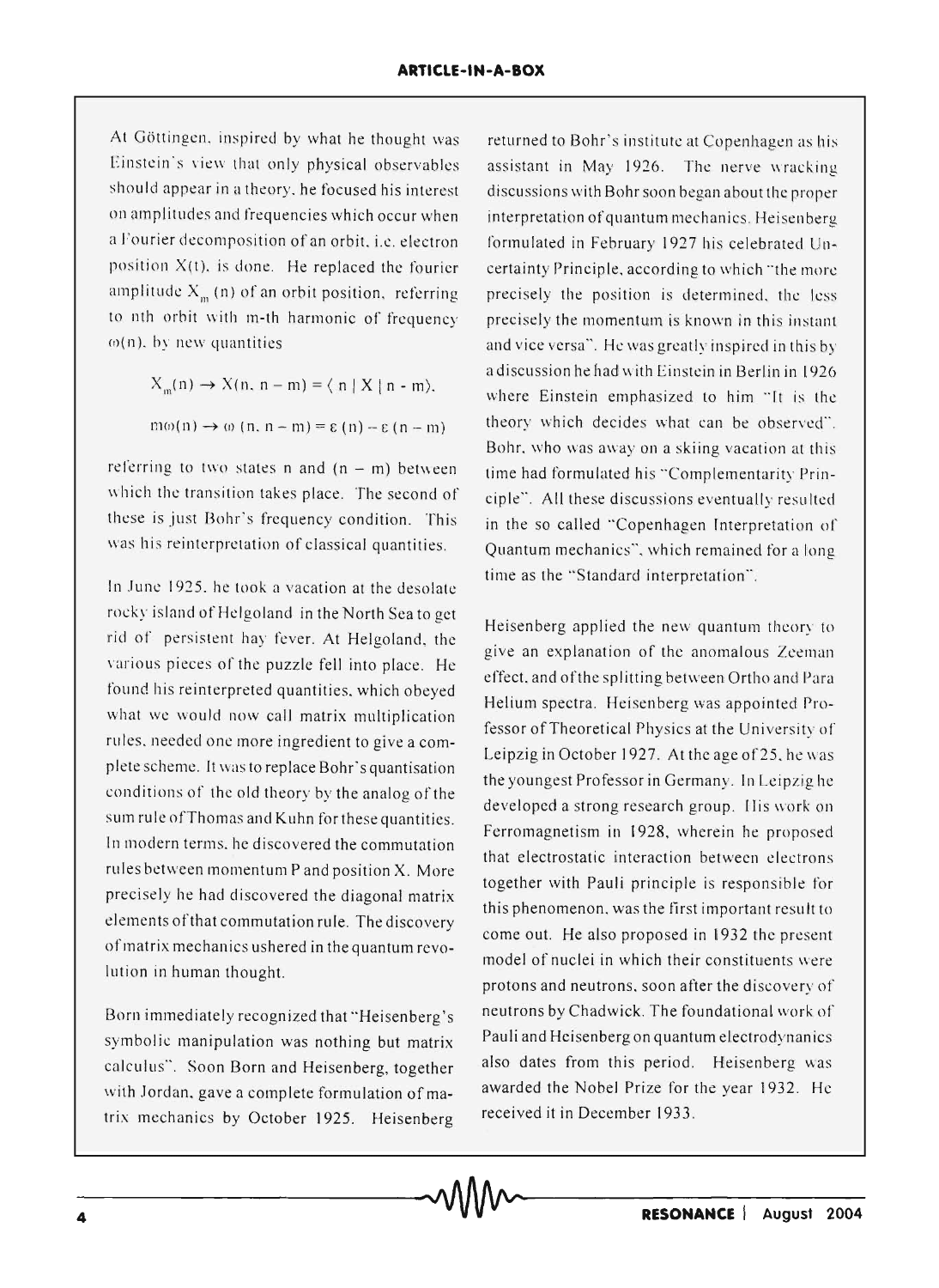At Göttingen, inspired by what he thought was Einstein's view that only physical observables should appear in a theory, he focused his interest on amplitudes and frequencies which occur when a Fourier decomposition of an orbit, i.e. electron position  $X(t)$ , is done. He replaced the fourier amplitude  $X<sub>m</sub>$  (n) of an orbit position, referring to nth orbit with m-th harmonic of frequency  $\omega(n)$ , by new quantities

$$
X_{m}(n) \to X(n, n-m) = \langle n | X | n-m \rangle.
$$
  

$$
m\omega(n) \to \omega(n, n-m) = \epsilon(n) - \epsilon(n-m)
$$

referring to two states n and  $(n - m)$  between which the transition takes place. The second of these is just Bohr's frequency condition. This was his reinterpretation of classical quantities.

In June 1925, he took a vacation at the desolate rocky island of Helgoland in the North Sea to get rid of persistent hay fever. At Helgoland, the various pieces of the puzzle fell into place. He found his reinterpreted quantities, which obeyed what we would now call matrix multiplication rules, needed one more ingredient to give a complete scheme. It was to replace Bohr's quantisation conditions of the old theory by the analog of the sum rule of Thomas and Kuhn for these quantities. In modern terms, he discovered the commutation rules between momentum P and position X. More precisely he had discovered the diagonal matrix elements of that commutation rule. The discovery of matrix mechanics ushered in the quantum revolution in human thought.

Born immediately recognized that "Heisenberg's symbolic manipulation was nothing but matrix calculus". Soon Born and Heisenberg, together with Jordan, gave a complete formulation of matrix mechanics by October 1925. Heisenberg

returned to Bohr's institute at Copenhagen as his assistant in May 1926. The nerve wracking discussions with Bohr soon began about the proper interpretation of quantum mechanics. Heisenberg formulated in February 1927 his celebrated Uncertainty Principle, according to which "the more precisely the position is determined, the less precisely the momentum is known in this instant and vice versa". He was greatly inspired in this *by*  a discussion he had with Einstein in Berlin in 1926 where Einstein emphasized to him "It is the theory which decides what can be observed". Bohr, who was away on a skiing vacation at this time had formulated his "Complementarity Principle". All these discussions eventually resulted in the so called "Copenhagen Interpretation of Quantum mechanics", which remained for a long time as the "Standard interpretation".

Heisenberg applied the new quantum theory to give an explanation of the anomalous Zeeman effect. and ofthe splitting between Ortho and Para Helium spectra. Heisenberg was appointed Professor of Theoretical Physics at the University of Leipzig in October 1927. At the age of 25, he was the youngest Professor in Germany. In Leipzig he developed a strong research group. His work on Ferromagnetism in 1928, wherein he proposed that electrostatic interaction between electrons together with Pauli principle is responsible for this phenomenon, was the first important result to come out. He also proposed in 1932 the present model of nuclei in which their constituents were protons and neutrons. soon after the discovery of neutrons by Chadwick. The foundational work of Pauli and Heisenberg on quantum electrodynanics also dates from this period. Heisenberg was awarded the Nobel Prize for the year 1932. He received it in December 1933.